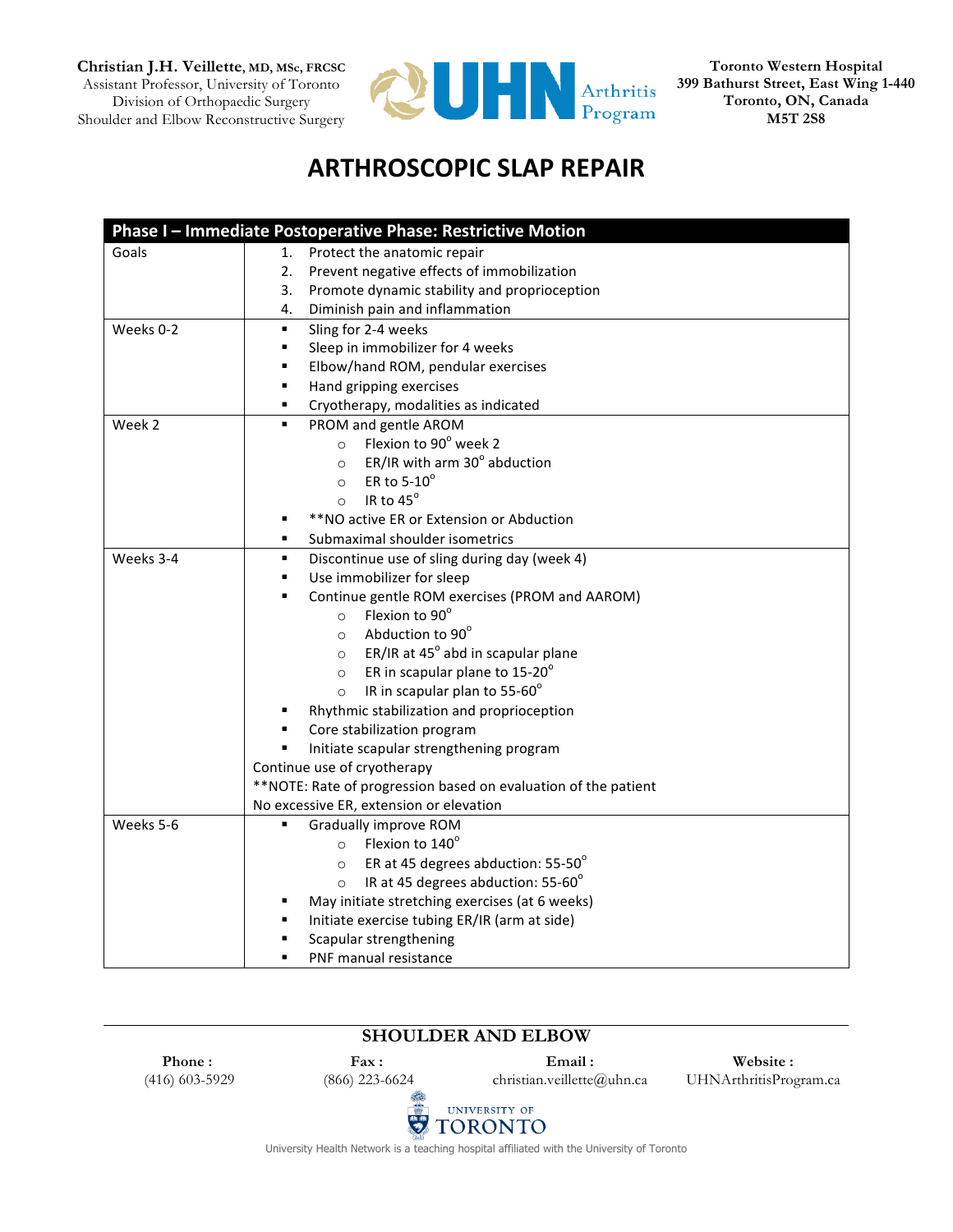**Christian J.H. Veillette, MD, MSc, FRCSC** Assistant Professor, University of Toronto Division of Orthopaedic Surgery Shoulder and Elbow Reconstructive Surgery



**Toronto Western Hospital 399 Bathurst Street, East Wing 1-440 Toronto, ON, Canada M5T 2S8**

## **ARTHROSCOPIC SLAP REPAIR**

|           | Phase I - Immediate Postoperative Phase: Restrictive Motion    |
|-----------|----------------------------------------------------------------|
| Goals     | Protect the anatomic repair<br>1.                              |
|           | Prevent negative effects of immobilization<br>2.               |
|           | Promote dynamic stability and proprioception<br>3.             |
|           | Diminish pain and inflammation<br>4.                           |
| Weeks 0-2 | ٠<br>Sling for 2-4 weeks                                       |
|           | Sleep in immobilizer for 4 weeks<br>٠                          |
|           | Elbow/hand ROM, pendular exercises<br>٠                        |
|           | Hand gripping exercises<br>٠                                   |
|           | Cryotherapy, modalities as indicated<br>٠                      |
| Week 2    | PROM and gentle AROM<br>٠                                      |
|           | Flexion to 90° week 2<br>$\circ$                               |
|           | ER/IR with arm 30° abduction<br>$\circ$                        |
|           | ER to $5-10^\circ$<br>$\circ$                                  |
|           | IR to 45°<br>$\circ$                                           |
|           | ** NO active ER or Extension or Abduction<br>٠                 |
|           | Submaximal shoulder isometrics<br>٠                            |
| Weeks 3-4 | Discontinue use of sling during day (week 4)<br>٠              |
|           | Use immobilizer for sleep<br>٠                                 |
|           | ٠<br>Continue gentle ROM exercises (PROM and AAROM)            |
|           | Flexion to 90°<br>$\circ$                                      |
|           | Abduction to 90°<br>$\circ$                                    |
|           | ER/IR at $45^\circ$ abd in scapular plane<br>$\circ$           |
|           | ER in scapular plane to 15-20°<br>$\circ$                      |
|           | IR in scapular plan to $55-60^\circ$<br>$\circ$                |
|           | Rhythmic stabilization and proprioception                      |
|           | Core stabilization program                                     |
|           | Initiate scapular strengthening program                        |
|           | Continue use of cryotherapy                                    |
|           | **NOTE: Rate of progression based on evaluation of the patient |
|           | No excessive ER, extension or elevation                        |
| Weeks 5-6 | Gradually improve ROM<br>٠                                     |
|           | Flexion to 140°<br>$\circ$                                     |
|           | ER at 45 degrees abduction: 55-50°<br>$\circ$                  |
|           | IR at 45 degrees abduction: 55-60°<br>$\circ$                  |
|           | May initiate stretching exercises (at 6 weeks)                 |
|           | Initiate exercise tubing ER/IR (arm at side)                   |
|           | Scapular strengthening<br>٠                                    |
|           | PNF manual resistance<br>٠                                     |

## **SHOULDER AND ELBOW Phone : Fax : Email : Website :** (416) 603-5929 (866) 223-6624 christian.veillette@uhn.ca UHNArthritisProgram.ca UNIVERSITY OF  $\ddot{\bm{v}}$ **TORONTO**

University Health Network is a teaching hospital affiliated with the University of Toronto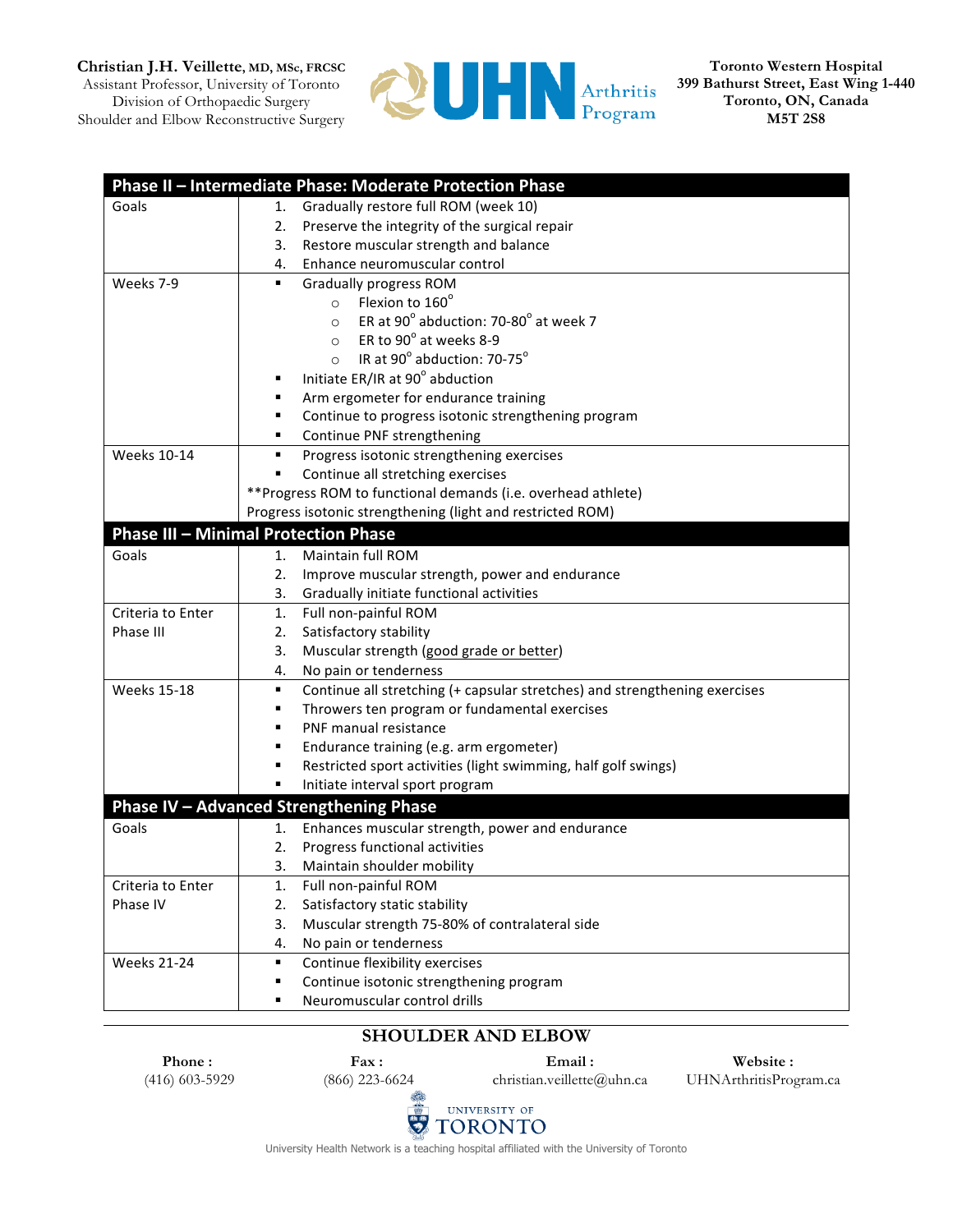**Christian J.H. Veillette, MD, MSc, FRCSC**

Assistant Professor, University of Toronto Division of Orthopaedic Surgery Shoulder and Elbow Reconstructive Surgery



**Toronto Western Hospital 399 Bathurst Street, East Wing 1-440 Toronto, ON, Canada M5T 2S8**

|                    | Phase II - Intermediate Phase: Moderate Protection Phase                        |
|--------------------|---------------------------------------------------------------------------------|
| Goals              | Gradually restore full ROM (week 10)<br>1.                                      |
|                    | Preserve the integrity of the surgical repair<br>2.                             |
|                    | 3.<br>Restore muscular strength and balance                                     |
|                    | Enhance neuromuscular control<br>4.                                             |
| Weeks 7-9          | <b>Gradually progress ROM</b><br>٠                                              |
|                    | Flexion to 160°<br>$\circ$                                                      |
|                    | ER at 90° abduction: 70-80° at week 7<br>$\circ$                                |
|                    | ER to 90° at weeks 8-9<br>$\circ$                                               |
|                    | IR at 90° abduction: 70-75°<br>$\circ$                                          |
|                    | Initiate ER/IR at 90° abduction                                                 |
|                    | Arm ergometer for endurance training                                            |
|                    | Continue to progress isotonic strengthening program                             |
|                    | Continue PNF strengthening<br>٠                                                 |
| <b>Weeks 10-14</b> | $\blacksquare$<br>Progress isotonic strengthening exercises                     |
|                    | Continue all stretching exercises<br>٠                                          |
|                    | **Progress ROM to functional demands (i.e. overhead athlete)                    |
|                    | Progress isotonic strengthening (light and restricted ROM)                      |
|                    | <b>Phase III - Minimal Protection Phase</b>                                     |
| Goals              | Maintain full ROM<br>1.                                                         |
|                    | Improve muscular strength, power and endurance<br>2.                            |
|                    | Gradually initiate functional activities<br>3.                                  |
| Criteria to Enter  | Full non-painful ROM<br>1.                                                      |
| Phase III          | Satisfactory stability<br>2.                                                    |
|                    | Muscular strength (good grade or better)<br>3.                                  |
|                    | No pain or tenderness<br>4.                                                     |
| <b>Weeks 15-18</b> | Continue all stretching (+ capsular stretches) and strengthening exercises<br>٠ |
|                    | Throwers ten program or fundamental exercises<br>٠                              |
|                    | PNF manual resistance<br>٠                                                      |
|                    | Endurance training (e.g. arm ergometer)<br>٠                                    |
|                    | Restricted sport activities (light swimming, half golf swings)                  |
|                    | Initiate interval sport program                                                 |
|                    | Phase IV - Advanced Strengthening Phase                                         |
| Goals              | Enhances muscular strength, power and endurance<br>1.                           |
|                    | Progress functional activities<br>2.                                            |
|                    | 3.<br>Maintain shoulder mobility                                                |
| Criteria to Enter  | Full non-painful ROM<br>1.                                                      |
| Phase IV           | Satisfactory static stability<br>2.                                             |
|                    | Muscular strength 75-80% of contralateral side<br>3.                            |
|                    | 4.<br>No pain or tenderness                                                     |
| <b>Weeks 21-24</b> | Continue flexibility exercises<br>٠                                             |
|                    | Continue isotonic strengthening program<br>٠                                    |
|                    | Neuromuscular control drills                                                    |
|                    |                                                                                 |

## **SHOULDER AND ELBOW**

**Phone :** (416) 603-5929

**Fax :** (866) 223-6624 **Email :**

christian.veillette@uhn.ca

**Website :** UHNArthritisProgram.ca



University Health Network is a teaching hospital affiliated with the University of Toronto